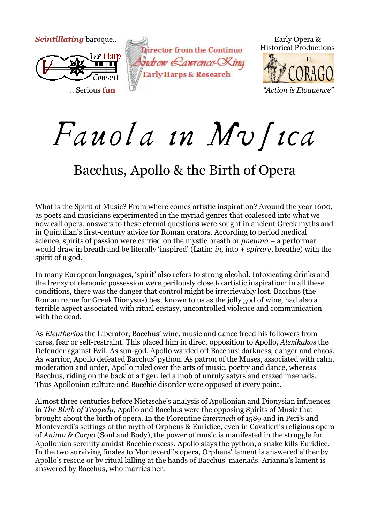

# Fauola in Musica

### Bacchus, Apollo & the Birth of Opera

What is the Spirit of Music? From where comes artistic inspiration? Around the year 1600, as poets and musicians experimented in the myriad genres that coalesced into what we now call opera, answers to these eternal questions were sought in ancient Greek myths and in Quintilian's first-century advice for Roman orators. According to period medical science, spirits of passion were carried on the mystic breath or *pneuma* – a performer would draw in breath and be literally 'inspired' (Latin: *in,* into + *spirare*, breathe) with the spirit of a god.

In many European languages, 'spirit' also refers to strong alcohol. Intoxicating drinks and the frenzy of demonic possession were perilously close to artistic inspiration: in all these conditions, there was the danger that control might be irretrievably lost. Bacchus (the Roman name for Greek Dionysus) best known to us as the jolly god of wine, had also a terrible aspect associated with ritual ecstasy, uncontrolled violence and communication with the dead.

As *Eleutherios* the Liberator, Bacchus' wine, music and dance freed his followers from cares, fear or self-restraint. This placed him in direct opposition to Apollo, *Alexikakos* the Defender against Evil. As sun-god, Apollo warded off Bacchus' darkness, danger and chaos. As warrior, Apollo defeated Bacchus' python. As patron of the Muses, associated with calm, moderation and order, Apollo ruled over the arts of music, poetry and dance, whereas Bacchus, riding on the back of a tiger, led a mob of unruly satyrs and crazed maenads. Thus Apollonian culture and Bacchic disorder were opposed at every point.

Almost three centuries before Nietzsche's analysis of Apollonian and Dionysian influences in *The Birth of Tragedy*, Apollo and Bacchus were the opposing Spirits of Music that brought about the birth of opera. In the Florentine *intermedi* of 1589 and in Peri's and Monteverdi's settings of the myth of Orpheus & Euridice, even in Cavalieri's religious opera of *Anima & Corpo* (Soul and Body), the power of music is manifested in the struggle for Apollonian serenity amidst Bacchic excess. Apollo slays the python, a snake kills Euridice. In the two surviving finales to Monteverdi's opera, Orpheus' lament is answered either by Apollo's rescue or by ritual killing at the hands of Bacchus' maenads. Arianna's lament is answered by Bacchus, who marries her.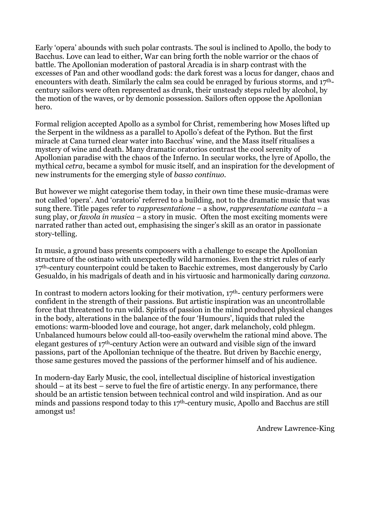Early 'opera' abounds with such polar contrasts. The soul is inclined to Apollo, the body to Bacchus. Love can lead to either, War can bring forth the noble warrior or the chaos of battle. The Apollonian moderation of pastoral Arcadia is in sharp contrast with the excesses of Pan and other woodland gods: the dark forest was a locus for danger, chaos and encounters with death. Similarly the calm sea could be enraged by furious storms, and 17thcentury sailors were often represented as drunk, their unsteady steps ruled by alcohol, by the motion of the waves, or by demonic possession. Sailors often oppose the Apollonian hero.

Formal religion accepted Apollo as a symbol for Christ, remembering how Moses lifted up the Serpent in the wildness as a parallel to Apollo's defeat of the Python. But the first miracle at Cana turned clear water into Bacchus' wine, and the Mass itself ritualises a mystery of wine and death. Many dramatic oratorios contrast the cool serenity of Apollonian paradise with the chaos of the Inferno. In secular works, the lyre of Apollo, the mythical *cetra*, became a symbol for music itself, and an inspiration for the development of new instruments for the emerging style of *basso continuo.* 

But however we might categorise them today, in their own time these music-dramas were not called 'opera'. And 'oratorio' referred to a building, not to the dramatic music that was sung there. Title pages refer to *rappresentatione* – a show, *rappresentatione cantata* – a sung play, or *favola in musica* – a story in music. Often the most exciting moments were narrated rather than acted out, emphasising the singer's skill as an orator in passionate story-telling.

In music, a ground bass presents composers with a challenge to escape the Apollonian structure of the ostinato with unexpectedly wild harmonies. Even the strict rules of early 17<sup>th</sup>-century counterpoint could be taken to Bacchic extremes, most dangerously by Carlo Gesualdo, in his madrigals of death and in his virtuosic and harmonically daring *canzona.*

In contrast to modern actors looking for their motivation,  $17<sup>th</sup>$ - century performers were confident in the strength of their passions. But artistic inspiration was an uncontrollable force that threatened to run wild. Spirits of passion in the mind produced physical changes in the body, alterations in the balance of the four 'Humours', liquids that ruled the emotions: warm-blooded love and courage, hot anger, dark melancholy, cold phlegm. Unbalanced humours below could all-too-easily overwhelm the rational mind above. The elegant gestures of 17th-century Action were an outward and visible sign of the inward passions, part of the Apollonian technique of the theatre. But driven by Bacchic energy, those same gestures moved the passions of the performer himself and of his audience.

In modern-day Early Music, the cool, intellectual discipline of historical investigation should – at its best – serve to fuel the fire of artistic energy. In any performance, there should be an artistic tension between technical control and wild inspiration. And as our minds and passions respond today to this 17th-century music, Apollo and Bacchus are still amongst us!

Andrew Lawrence-King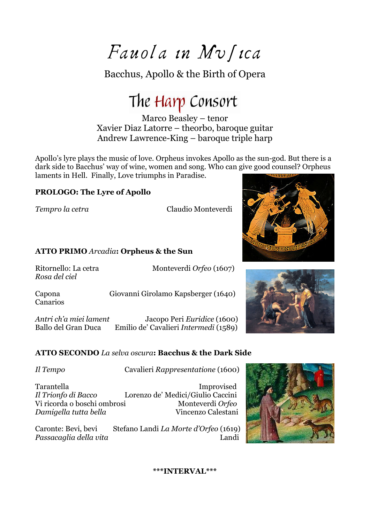$Fawola$  in  $Mv$  fica

Bacchus, Apollo & the Birth of Opera

## The Harp Consort

Marco Beasley – tenor Xavier Diaz Latorre – theorbo, baroque guitar Andrew Lawrence-King – baroque triple harp

Apollo's lyre plays the music of love. Orpheus invokes Apollo as the sun-god. But there is a dark side to Bacchus' way of wine, women and song. Who can give good counsel? Orpheus laments in Hell. Finally, Love triumphs in Paradise.

#### **PROLOGO: The Lyre of Apollo**

*Tempro la cetra* Claudio Monteverdi

#### **ATTO PRIMO** *Arcadia***: Orpheus & the Sun**

*Rosa del ciel* 

Ritornello: La cetra Monteverdi *Orfeo* (1607)

Capona Giovanni Girolamo Kapsberger (1640) Canarios

*Antri ch'a miei lament* Jacopo Peri *Euridice* (1600) Ballo del Gran Duca Emilio de' Cavalieri *Intermedi* (1589)

#### **ATTO SECONDO** *La selva oscura***: Bacchus & the Dark Side**

*Il Tempo* Cavalieri *Rappresentatione* (1600)

Tarantella Improvised *Il Trionfo di Bacco* Lorenzo de' Medici/Giulio Caccini Vi ricorda o boschi ombrosi *Damigella tutta bella* Vincenzo Calestani

Caronte: Bevi, bevi Stefano Landi *La Morte d'Orfeo* (1619) *Passacaglia della vita* Landi



#### **\*\*\*INTERVAL\*\*\***